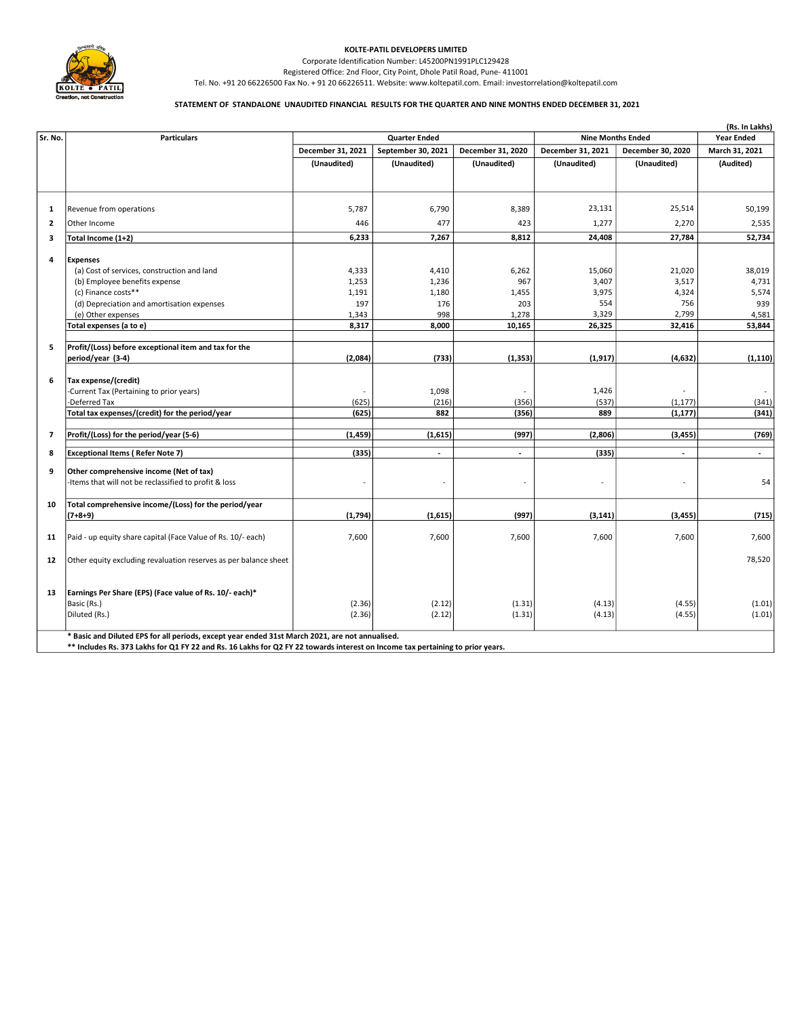

## KOLTE-PATIL DEVELOPERS LIMITED

Registered Office: 2nd Floor, City Point, Dhole Patil Road, Pune- 411001 Corporate Identification Number: L45200PN1991PLC129428

Tel. No. +91 20 66226500 Fax No. + 91 20 66226511. Website: www.koltepatil.com. Email: investorrelation@koltepatil.com

## STATEMENT OF STANDALONE UNAUDITED FINANCIAL RESULTS FOR THE QUARTER AND NINE MONTHS ENDED DECEMBER 31, 2021

|                | (Rs. In Lakhs)                                                                                                                 |                      |                    |                   |                          |                   |                   |  |
|----------------|--------------------------------------------------------------------------------------------------------------------------------|----------------------|--------------------|-------------------|--------------------------|-------------------|-------------------|--|
| Sr. No.        | <b>Particulars</b>                                                                                                             | <b>Quarter Ended</b> |                    |                   | <b>Nine Months Ended</b> |                   | <b>Year Ended</b> |  |
|                |                                                                                                                                | December 31, 2021    | September 30, 2021 | December 31, 2020 | December 31, 2021        | December 30, 2020 | March 31, 2021    |  |
|                |                                                                                                                                | (Unaudited)          | (Unaudited)        | (Unaudited)       | (Unaudited)              | (Unaudited)       | (Audited)         |  |
|                |                                                                                                                                |                      |                    |                   |                          |                   |                   |  |
|                |                                                                                                                                |                      |                    |                   |                          |                   |                   |  |
|                |                                                                                                                                |                      |                    |                   |                          |                   |                   |  |
| 1              | Revenue from operations                                                                                                        | 5,787                | 6,790              | 8,389             | 23,131                   | 25,514            | 50,199            |  |
| $\overline{2}$ | Other Income                                                                                                                   | 446                  | 477                | 423               | 1,277                    | 2,270             | 2,535             |  |
| 3              | Total Income (1+2)                                                                                                             | 6,233                | 7,267              | 8,812             | 24,408                   | 27,784            | 52,734            |  |
|                |                                                                                                                                |                      |                    |                   |                          |                   |                   |  |
| $\overline{a}$ | <b>Expenses</b>                                                                                                                |                      |                    |                   |                          |                   |                   |  |
|                | (a) Cost of services, construction and land                                                                                    | 4,333                | 4,410              | 6,262             | 15,060                   | 21,020            | 38,019            |  |
|                | (b) Employee benefits expense                                                                                                  | 1,253                | 1,236              | 967               | 3,407                    | 3,517             | 4,731             |  |
|                | (c) Finance costs**                                                                                                            | 1,191                | 1,180              | 1,455             | 3,975                    | 4,324             | 5,574             |  |
|                | (d) Depreciation and amortisation expenses                                                                                     | 197                  | 176                | 203               | 554                      | 756               | 939               |  |
|                | (e) Other expenses                                                                                                             | 1,343                | 998                | 1,278             | 3,329                    | 2,799             | 4,581             |  |
|                | Total expenses (a to e)                                                                                                        | 8,317                | 8,000              | 10,165            | 26,325                   | 32,416            | 53,844            |  |
|                |                                                                                                                                |                      |                    |                   |                          |                   |                   |  |
| 5              | Profit/(Loss) before exceptional item and tax for the                                                                          |                      |                    |                   |                          |                   |                   |  |
|                | period/year (3-4)                                                                                                              | (2,084)              | (733)              | (1, 353)          | (1, 917)                 | (4,632)           | (1, 110)          |  |
|                |                                                                                                                                |                      |                    |                   |                          |                   |                   |  |
| 6              | Tax expense/(credit)                                                                                                           |                      |                    |                   |                          |                   |                   |  |
|                | Current Tax (Pertaining to prior years)                                                                                        |                      | 1,098              |                   | 1,426                    |                   |                   |  |
|                | Deferred Tax                                                                                                                   | (625)                | (216)              | (356)             | (537)                    | (1, 177)          | (341)             |  |
|                | Total tax expenses/(credit) for the period/year                                                                                | (625)                | 882                | (356)             | 889                      | (1, 177)          | (341)             |  |
|                |                                                                                                                                |                      |                    |                   |                          |                   |                   |  |
| $\overline{7}$ | Profit/(Loss) for the period/year (5-6)                                                                                        | (1, 459)             | (1,615)            | (997)             | (2,806)                  | (3, 455)          | (769)             |  |
|                |                                                                                                                                |                      |                    |                   |                          |                   |                   |  |
| 8              | <b>Exceptional Items (Refer Note 7)</b>                                                                                        | (335)                | ÷.                 | ÷                 | (335)                    | ÷                 |                   |  |
| 9              | Other comprehensive income (Net of tax)                                                                                        |                      |                    |                   |                          |                   |                   |  |
|                | Items that will not be reclassified to profit & loss                                                                           |                      |                    | L,                | $\overline{\phantom{a}}$ |                   | 54                |  |
|                |                                                                                                                                |                      |                    |                   |                          |                   |                   |  |
| 10             | Total comprehensive income/(Loss) for the period/year                                                                          |                      |                    |                   |                          |                   |                   |  |
|                | $(7+8+9)$                                                                                                                      | (1,794)              | (1,615)            | (997)             | (3, 141)                 | (3, 455)          | (715)             |  |
|                |                                                                                                                                |                      |                    |                   |                          |                   |                   |  |
| 11             | Paid - up equity share capital (Face Value of Rs. 10/- each)                                                                   | 7,600                | 7,600              | 7,600             | 7,600                    | 7,600             | 7,600             |  |
|                |                                                                                                                                |                      |                    |                   |                          |                   |                   |  |
| 12             | Other equity excluding revaluation reserves as per balance sheet                                                               |                      |                    |                   |                          |                   | 78,520            |  |
|                |                                                                                                                                |                      |                    |                   |                          |                   |                   |  |
|                |                                                                                                                                |                      |                    |                   |                          |                   |                   |  |
| 13             | Earnings Per Share (EPS) (Face value of Rs. 10/- each)*                                                                        |                      |                    |                   |                          |                   |                   |  |
|                |                                                                                                                                | (2.36)               | (2.12)             |                   | (4.13)                   | (4.55)            | (1.01)            |  |
|                | Basic (Rs.)                                                                                                                    |                      |                    | (1.31)            |                          |                   |                   |  |
|                | Diluted (Rs.)                                                                                                                  | (2.36)               | (2.12)             | (1.31)            | (4.13)                   | (4.55)            | (1.01)            |  |
|                | * Basic and Diluted EPS for all periods, except year ended 31st March 2021, are not annualised.                                |                      |                    |                   |                          |                   |                   |  |
|                | ** Includes Rs. 373 Lakhs for Q1 FY 22 and Rs. 16 Lakhs for Q2 FY 22 towards interest on Income tax pertaining to prior years. |                      |                    |                   |                          |                   |                   |  |

\*\* Includes Rs. 373 Lakhs for Q1 FY 22 and Rs. 16 Lakhs for Q2 FY 22 towards interest on Income tax pertaining to prior years.